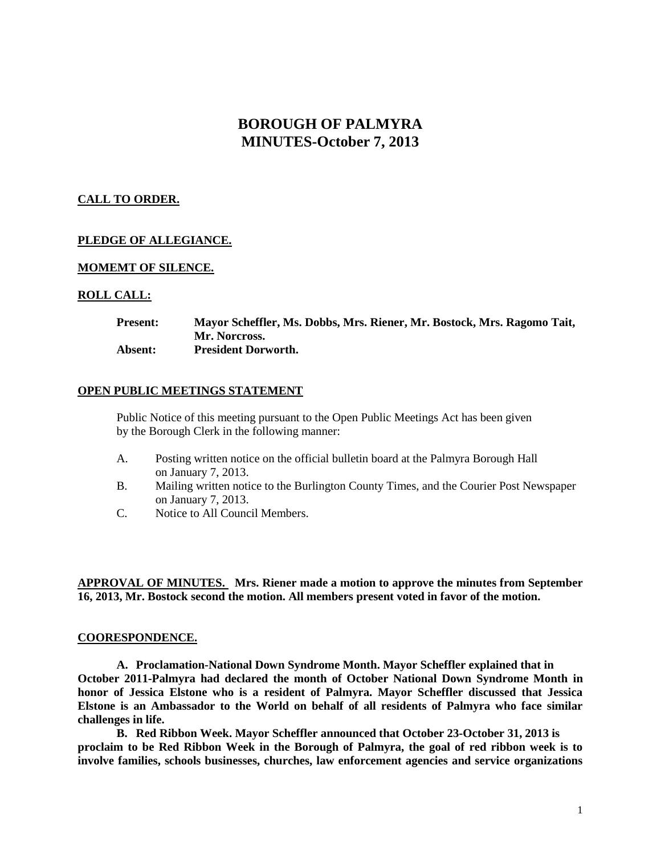# **BOROUGH OF PALMYRA MINUTES-October 7, 2013**

## **CALL TO ORDER.**

## **PLEDGE OF ALLEGIANCE.**

### **MOMEMT OF SILENCE.**

### **ROLL CALL:**

**Present: Mayor Scheffler, Ms. Dobbs, Mrs. Riener, Mr. Bostock, Mrs. Ragomo Tait, Mr. Norcross. Absent: President Dorworth.**

#### **OPEN PUBLIC MEETINGS STATEMENT**

Public Notice of this meeting pursuant to the Open Public Meetings Act has been given by the Borough Clerk in the following manner:

- A. Posting written notice on the official bulletin board at the Palmyra Borough Hall on January 7, 2013.
- B. Mailing written notice to the Burlington County Times, and the Courier Post Newspaper on January 7, 2013.
- C. Notice to All Council Members.

**APPROVAL OF MINUTES. Mrs. Riener made a motion to approve the minutes from September 16, 2013, Mr. Bostock second the motion. All members present voted in favor of the motion.**

#### **COORESPONDENCE.**

**A. Proclamation-National Down Syndrome Month. Mayor Scheffler explained that in October 2011-Palmyra had declared the month of October National Down Syndrome Month in honor of Jessica Elstone who is a resident of Palmyra. Mayor Scheffler discussed that Jessica Elstone is an Ambassador to the World on behalf of all residents of Palmyra who face similar challenges in life.** 

**B. Red Ribbon Week. Mayor Scheffler announced that October 23-October 31, 2013 is proclaim to be Red Ribbon Week in the Borough of Palmyra, the goal of red ribbon week is to involve families, schools businesses, churches, law enforcement agencies and service organizations**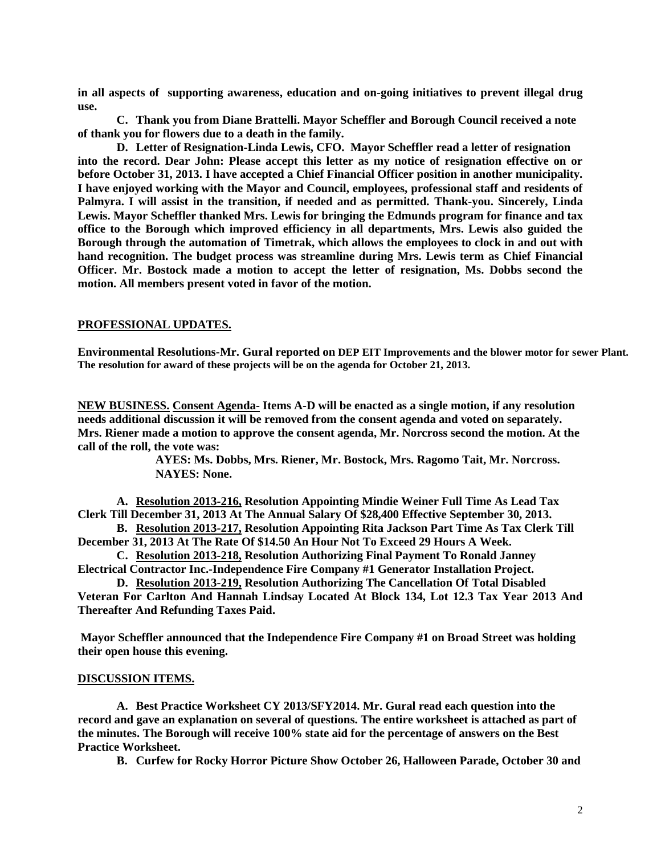**in all aspects of supporting awareness, education and on-going initiatives to prevent illegal drug use.**

**C. Thank you from Diane Brattelli. Mayor Scheffler and Borough Council received a note of thank you for flowers due to a death in the family.**

**D. Letter of Resignation-Linda Lewis, CFO. Mayor Scheffler read a letter of resignation into the record. Dear John: Please accept this letter as my notice of resignation effective on or before October 31, 2013. I have accepted a Chief Financial Officer position in another municipality. I have enjoyed working with the Mayor and Council, employees, professional staff and residents of Palmyra. I will assist in the transition, if needed and as permitted. Thank-you. Sincerely, Linda Lewis. Mayor Scheffler thanked Mrs. Lewis for bringing the Edmunds program for finance and tax office to the Borough which improved efficiency in all departments, Mrs. Lewis also guided the Borough through the automation of Timetrak, which allows the employees to clock in and out with hand recognition. The budget process was streamline during Mrs. Lewis term as Chief Financial Officer. Mr. Bostock made a motion to accept the letter of resignation, Ms. Dobbs second the motion. All members present voted in favor of the motion.** 

### **PROFESSIONAL UPDATES.**

**Environmental Resolutions-Mr. Gural reported on DEP EIT Improvements and the blower motor for sewer Plant. The resolution for award of these projects will be on the agenda for October 21, 2013.** 

**NEW BUSINESS. Consent Agenda- Items A-D will be enacted as a single motion, if any resolution needs additional discussion it will be removed from the consent agenda and voted on separately. Mrs. Riener made a motion to approve the consent agenda, Mr. Norcross second the motion. At the call of the roll, the vote was:**

> **AYES: Ms. Dobbs, Mrs. Riener, Mr. Bostock, Mrs. Ragomo Tait, Mr. Norcross. NAYES: None.**

**A. Resolution 2013-216, Resolution Appointing Mindie Weiner Full Time As Lead Tax Clerk Till December 31, 2013 At The Annual Salary Of \$28,400 Effective September 30, 2013.**

**B. Resolution 2013-217, Resolution Appointing Rita Jackson Part Time As Tax Clerk Till December 31, 2013 At The Rate Of \$14.50 An Hour Not To Exceed 29 Hours A Week.**

**C. Resolution 2013-218, Resolution Authorizing Final Payment To Ronald Janney Electrical Contractor Inc.-Independence Fire Company #1 Generator Installation Project.**

**D. Resolution 2013-219, Resolution Authorizing The Cancellation Of Total Disabled Veteran For Carlton And Hannah Lindsay Located At Block 134, Lot 12.3 Tax Year 2013 And Thereafter And Refunding Taxes Paid.**

**Mayor Scheffler announced that the Independence Fire Company #1 on Broad Street was holding their open house this evening.** 

#### **DISCUSSION ITEMS.**

**A. Best Practice Worksheet CY 2013/SFY2014. Mr. Gural read each question into the record and gave an explanation on several of questions. The entire worksheet is attached as part of the minutes. The Borough will receive 100% state aid for the percentage of answers on the Best Practice Worksheet.**

**B. Curfew for Rocky Horror Picture Show October 26, Halloween Parade, October 30 and**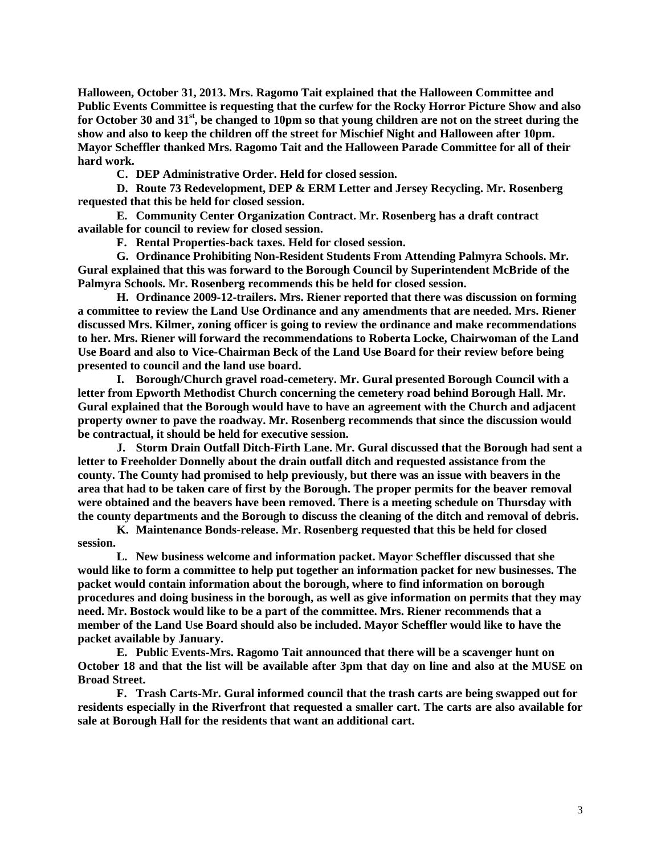**Halloween, October 31, 2013. Mrs. Ragomo Tait explained that the Halloween Committee and Public Events Committee is requesting that the curfew for the Rocky Horror Picture Show and also for October 30 and 31st, be changed to 10pm so that young children are not on the street during the show and also to keep the children off the street for Mischief Night and Halloween after 10pm. Mayor Scheffler thanked Mrs. Ragomo Tait and the Halloween Parade Committee for all of their hard work.** 

**C. DEP Administrative Order. Held for closed session.**

**D. Route 73 Redevelopment, DEP & ERM Letter and Jersey Recycling. Mr. Rosenberg requested that this be held for closed session.** 

**E. Community Center Organization Contract. Mr. Rosenberg has a draft contract available for council to review for closed session.**

**F. Rental Properties-back taxes. Held for closed session.**

**G. Ordinance Prohibiting Non-Resident Students From Attending Palmyra Schools. Mr. Gural explained that this was forward to the Borough Council by Superintendent McBride of the Palmyra Schools. Mr. Rosenberg recommends this be held for closed session.**

**H. Ordinance 2009-12-trailers. Mrs. Riener reported that there was discussion on forming a committee to review the Land Use Ordinance and any amendments that are needed. Mrs. Riener discussed Mrs. Kilmer, zoning officer is going to review the ordinance and make recommendations to her. Mrs. Riener will forward the recommendations to Roberta Locke, Chairwoman of the Land Use Board and also to Vice-Chairman Beck of the Land Use Board for their review before being presented to council and the land use board.** 

**I. Borough/Church gravel road-cemetery. Mr. Gural presented Borough Council with a letter from Epworth Methodist Church concerning the cemetery road behind Borough Hall. Mr. Gural explained that the Borough would have to have an agreement with the Church and adjacent property owner to pave the roadway. Mr. Rosenberg recommends that since the discussion would be contractual, it should be held for executive session.**

**J. Storm Drain Outfall Ditch-Firth Lane. Mr. Gural discussed that the Borough had sent a letter to Freeholder Donnelly about the drain outfall ditch and requested assistance from the county. The County had promised to help previously, but there was an issue with beavers in the area that had to be taken care of first by the Borough. The proper permits for the beaver removal were obtained and the beavers have been removed. There is a meeting schedule on Thursday with the county departments and the Borough to discuss the cleaning of the ditch and removal of debris.** 

**K. Maintenance Bonds-release. Mr. Rosenberg requested that this be held for closed session.** 

**L. New business welcome and information packet. Mayor Scheffler discussed that she would like to form a committee to help put together an information packet for new businesses. The packet would contain information about the borough, where to find information on borough procedures and doing business in the borough, as well as give information on permits that they may need. Mr. Bostock would like to be a part of the committee. Mrs. Riener recommends that a member of the Land Use Board should also be included. Mayor Scheffler would like to have the packet available by January.** 

**E. Public Events-Mrs. Ragomo Tait announced that there will be a scavenger hunt on October 18 and that the list will be available after 3pm that day on line and also at the MUSE on Broad Street.** 

**F. Trash Carts-Mr. Gural informed council that the trash carts are being swapped out for residents especially in the Riverfront that requested a smaller cart. The carts are also available for sale at Borough Hall for the residents that want an additional cart.**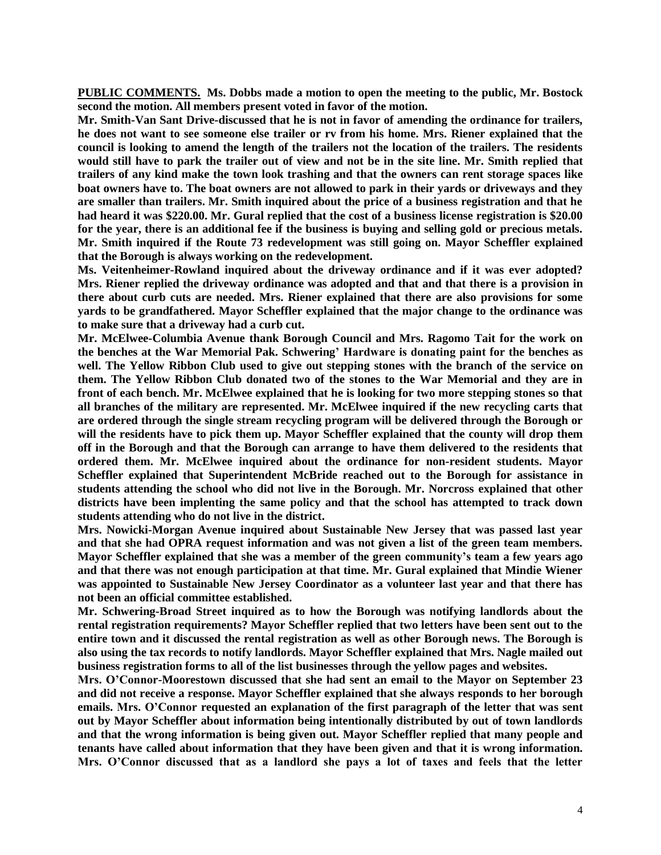**PUBLIC COMMENTS. Ms. Dobbs made a motion to open the meeting to the public, Mr. Bostock second the motion. All members present voted in favor of the motion.**

**Mr. Smith-Van Sant Drive-discussed that he is not in favor of amending the ordinance for trailers, he does not want to see someone else trailer or rv from his home. Mrs. Riener explained that the council is looking to amend the length of the trailers not the location of the trailers. The residents would still have to park the trailer out of view and not be in the site line. Mr. Smith replied that trailers of any kind make the town look trashing and that the owners can rent storage spaces like boat owners have to. The boat owners are not allowed to park in their yards or driveways and they are smaller than trailers. Mr. Smith inquired about the price of a business registration and that he had heard it was \$220.00. Mr. Gural replied that the cost of a business license registration is \$20.00 for the year, there is an additional fee if the business is buying and selling gold or precious metals. Mr. Smith inquired if the Route 73 redevelopment was still going on. Mayor Scheffler explained that the Borough is always working on the redevelopment.** 

**Ms. Veitenheimer-Rowland inquired about the driveway ordinance and if it was ever adopted? Mrs. Riener replied the driveway ordinance was adopted and that and that there is a provision in there about curb cuts are needed. Mrs. Riener explained that there are also provisions for some yards to be grandfathered. Mayor Scheffler explained that the major change to the ordinance was to make sure that a driveway had a curb cut.** 

**Mr. McElwee-Columbia Avenue thank Borough Council and Mrs. Ragomo Tait for the work on the benches at the War Memorial Pak. Schwering' Hardware is donating paint for the benches as well. The Yellow Ribbon Club used to give out stepping stones with the branch of the service on them. The Yellow Ribbon Club donated two of the stones to the War Memorial and they are in front of each bench. Mr. McElwee explained that he is looking for two more stepping stones so that all branches of the military are represented. Mr. McElwee inquired if the new recycling carts that are ordered through the single stream recycling program will be delivered through the Borough or will the residents have to pick them up. Mayor Scheffler explained that the county will drop them off in the Borough and that the Borough can arrange to have them delivered to the residents that ordered them. Mr. McElwee inquired about the ordinance for non-resident students. Mayor Scheffler explained that Superintendent McBride reached out to the Borough for assistance in students attending the school who did not live in the Borough. Mr. Norcross explained that other districts have been implenting the same policy and that the school has attempted to track down students attending who do not live in the district.** 

**Mrs. Nowicki-Morgan Avenue inquired about Sustainable New Jersey that was passed last year and that she had OPRA request information and was not given a list of the green team members. Mayor Scheffler explained that she was a member of the green community's team a few years ago and that there was not enough participation at that time. Mr. Gural explained that Mindie Wiener was appointed to Sustainable New Jersey Coordinator as a volunteer last year and that there has not been an official committee established.** 

**Mr. Schwering-Broad Street inquired as to how the Borough was notifying landlords about the rental registration requirements? Mayor Scheffler replied that two letters have been sent out to the entire town and it discussed the rental registration as well as other Borough news. The Borough is also using the tax records to notify landlords. Mayor Scheffler explained that Mrs. Nagle mailed out business registration forms to all of the list businesses through the yellow pages and websites.** 

**Mrs. O'Connor-Moorestown discussed that she had sent an email to the Mayor on September 23 and did not receive a response. Mayor Scheffler explained that she always responds to her borough emails. Mrs. O'Connor requested an explanation of the first paragraph of the letter that was sent out by Mayor Scheffler about information being intentionally distributed by out of town landlords and that the wrong information is being given out. Mayor Scheffler replied that many people and tenants have called about information that they have been given and that it is wrong information. Mrs. O'Connor discussed that as a landlord she pays a lot of taxes and feels that the letter**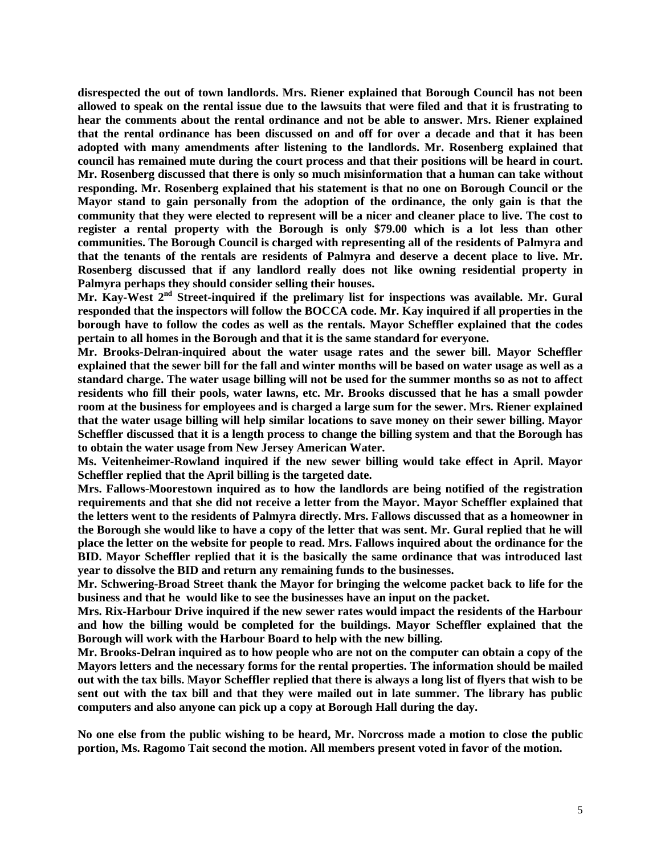**disrespected the out of town landlords. Mrs. Riener explained that Borough Council has not been allowed to speak on the rental issue due to the lawsuits that were filed and that it is frustrating to hear the comments about the rental ordinance and not be able to answer. Mrs. Riener explained that the rental ordinance has been discussed on and off for over a decade and that it has been adopted with many amendments after listening to the landlords. Mr. Rosenberg explained that council has remained mute during the court process and that their positions will be heard in court. Mr. Rosenberg discussed that there is only so much misinformation that a human can take without responding. Mr. Rosenberg explained that his statement is that no one on Borough Council or the Mayor stand to gain personally from the adoption of the ordinance, the only gain is that the community that they were elected to represent will be a nicer and cleaner place to live. The cost to register a rental property with the Borough is only \$79.00 which is a lot less than other communities. The Borough Council is charged with representing all of the residents of Palmyra and that the tenants of the rentals are residents of Palmyra and deserve a decent place to live. Mr. Rosenberg discussed that if any landlord really does not like owning residential property in Palmyra perhaps they should consider selling their houses.** 

**Mr. Kay-West 2nd Street-inquired if the prelimary list for inspections was available. Mr. Gural responded that the inspectors will follow the BOCCA code. Mr. Kay inquired if all properties in the borough have to follow the codes as well as the rentals. Mayor Scheffler explained that the codes pertain to all homes in the Borough and that it is the same standard for everyone.** 

**Mr. Brooks-Delran-inquired about the water usage rates and the sewer bill. Mayor Scheffler explained that the sewer bill for the fall and winter months will be based on water usage as well as a standard charge. The water usage billing will not be used for the summer months so as not to affect residents who fill their pools, water lawns, etc. Mr. Brooks discussed that he has a small powder room at the business for employees and is charged a large sum for the sewer. Mrs. Riener explained that the water usage billing will help similar locations to save money on their sewer billing. Mayor Scheffler discussed that it is a length process to change the billing system and that the Borough has to obtain the water usage from New Jersey American Water.** 

**Ms. Veitenheimer-Rowland inquired if the new sewer billing would take effect in April. Mayor Scheffler replied that the April billing is the targeted date.** 

**Mrs. Fallows-Moorestown inquired as to how the landlords are being notified of the registration requirements and that she did not receive a letter from the Mayor. Mayor Scheffler explained that the letters went to the residents of Palmyra directly. Mrs. Fallows discussed that as a homeowner in the Borough she would like to have a copy of the letter that was sent. Mr. Gural replied that he will place the letter on the website for people to read. Mrs. Fallows inquired about the ordinance for the BID. Mayor Scheffler replied that it is the basically the same ordinance that was introduced last year to dissolve the BID and return any remaining funds to the businesses.** 

**Mr. Schwering-Broad Street thank the Mayor for bringing the welcome packet back to life for the business and that he would like to see the businesses have an input on the packet.** 

**Mrs. Rix-Harbour Drive inquired if the new sewer rates would impact the residents of the Harbour and how the billing would be completed for the buildings. Mayor Scheffler explained that the Borough will work with the Harbour Board to help with the new billing.**

**Mr. Brooks-Delran inquired as to how people who are not on the computer can obtain a copy of the Mayors letters and the necessary forms for the rental properties. The information should be mailed out with the tax bills. Mayor Scheffler replied that there is always a long list of flyers that wish to be sent out with the tax bill and that they were mailed out in late summer. The library has public computers and also anyone can pick up a copy at Borough Hall during the day.** 

**No one else from the public wishing to be heard, Mr. Norcross made a motion to close the public portion, Ms. Ragomo Tait second the motion. All members present voted in favor of the motion.**